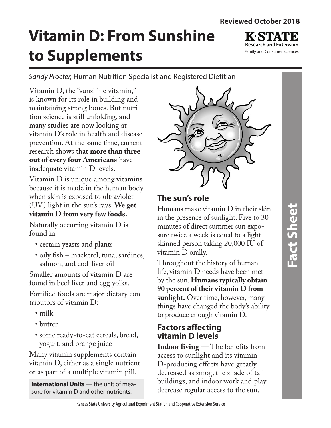# **Vitamin D: From Sunshine to Supplements**

**Research and Extension** Family and Consumer Sciences

*Sandy Procter,* Human Nutrition Specialist and Registered Dietitian

Vitamin D, the "sunshine vitamin," is known for its role in building and maintaining strong bones. But nutrition science is still unfolding, and many studies are now looking at vitamin D's role in health and disease prevention. At the same time, current research shows that **more than three out of every four Americans** have inadequate vitamin D levels.

Vitamin D is unique among vitamins because it is made in the human body when skin is exposed to ultraviolet (UV) light in the sun's rays. **We get vitamin D from very few foods.** 

Naturally occurring vitamin D is found in:

- certain yeasts and plants
- oily fish mackerel, tuna, sardines, salmon, and cod-liver oil

Smaller amounts of vitamin D are found in beef liver and egg yolks.

Fortified foods are major dietary contributors of vitamin D:

- milk
- butter
- some ready-to-eat cereals, bread, yogurt, and orange juice

Many vitamin supplements contain vitamin D, either as a single nutrient or as part of a multiple vitamin pill.

**International Units** — the unit of measure for vitamin D and other nutrients.



# **The sun's role**

Humans make vitamin D in their skin in the presence of sunlight. Five to 30 minutes of direct summer sun exposure twice a week is equal to a lightskinned person taking 20,000 IU of vitamin D orally.

Throughout the history of human life, vitamin D needs have been met by the sun. **Humans typically obtain 90 percent of their vitamin D from sunlight.** Over time, however, many things have changed the body's ability to produce enough vitamin D.

# **Factors affecting vitamin D levels**

**Indoor living —** The benefits from access to sunlight and its vitamin D-producing effects have greatly decreased as smog, the shade of tall buildings, and indoor work and play decrease regular access to the sun.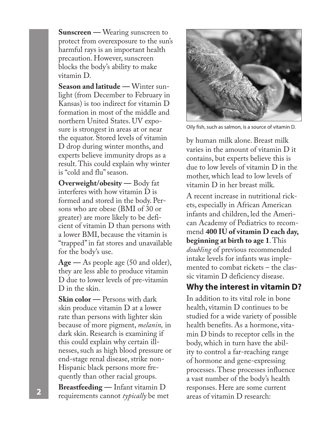**Sunscreen —** Wearing sunscreen to protect from overexposure to the sun's harmful rays is an important health precaution. However, sunscreen blocks the body's ability to make vitamin D.

**Season and latitude —** Winter sunlight (from December to February in Kansas) is too indirect for vitamin D formation in most of the middle and northern United States. UV exposure is strongest in areas at or near the equator. Stored levels of vitamin D drop during winter months, and experts believe immunity drops as a result. This could explain why winter is "cold and flu" season.

**Overweight/obesity —** Body fat interferes with how vitamin D is formed and stored in the body. Persons who are obese (BMI of 30 or greater) are more likely to be deficient of vitamin D than persons with a lower BMI, because the vitamin is "trapped" in fat stores and unavailable for the body's use.

**Age —** As people age (50 and older), they are less able to produce vitamin D due to lower levels of pre-vitamin D in the skin.

**Skin color —** Persons with dark skin produce vitamin D at a lower rate than persons with lighter skin because of more pigment, *melanin,* in dark skin. Research is examining if this could explain why certain illnesses, such as high blood pressure or end-stage renal disease, strike non-Hispanic black persons more frequently than other racial groups.

**Breastfeeding —** Infant vitamin D requirements cannot *typically* be met areas of vitamin D research: **<sup>2</sup>**



Oily fish, such as salmon, is a source of vitamin D.

by human milk alone. Breast milk varies in the amount of vitamin D it contains, but experts believe this is due to low levels of vitamin D in the mother, which lead to low levels of vitamin D in her breast milk.

A recent increase in nutritional rickets, especially in African American infants and children, led the American Academy of Pediatrics to recommend **400 IU of vitamin D each day, beginning at birth to age 1**. This *doubling* of previous recommended intake levels for infants was implemented to combat rickets – the classic vitamin D deficiency disease.

# **Why the interest in vitamin D?**

In addition to its vital role in bone health, vitamin D continues to be studied for a wide variety of possible health benefits. As a hormone, vitamin D binds to receptor cells in the body, which in turn have the ability to control a far-reaching range of hormone and gene-expressing processes. These processes influence a vast number of the body's health responses. Here are some current<br>areas of vitamin D research: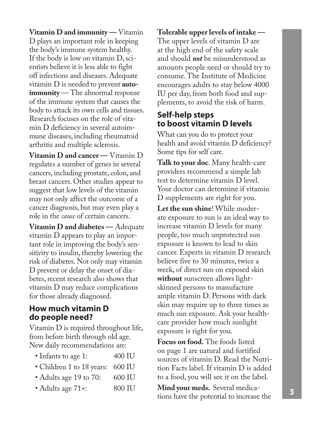**Vitamin D and immunity —** Vitamin D plays an important role in keeping the body's immune system healthy. If the body is low on vitamin D, scientists believe it is less able to fight off infections and diseases. Adequate vitamin D is needed to prevent **autoimmunity** — The abnormal response of the immune system that causes the body to attack its own cells and tissues. Research focuses on the role of vitamin D deficiency in several autoimmune diseases, including rheumatoid arthritis and multiple sclerosis.

**Vitamin D and cancer —** Vitamin D regulates a number of genes in several cancers, including prostate, colon, and breast cancers. Other studies appear to suggest that low levels of the vitamin may not only affect the outcome of a cancer diagnosis, but may even play a role in the *cause* of certain cancers.

**Vitamin D and diabetes —** Adequate vitamin D appears to play an important role in improving the body's sensitivity to insulin, thereby lowering the risk of diabetes. Not only may vitamin D prevent or delay the onset of diabetes, recent research also shows that vitamin D may reduce complications for those already diagnosed.

#### **How much vitamin D do people need?**

Vitamin D is required throughout life, from before birth through old age. New daily recommendations are:

| • Infants to age 1: | 400 IU |
|---------------------|--------|
|---------------------|--------|

- Children 1 to 18 years: 600 IU
- Adults age 19 to 70: 600 IU
- Adults age 71+: 800 IU

**Tolerable upper levels of intake —**  The upper levels of vitamin D are at the high end of the safety scale and should *not* be misunderstood as amounts people need or should try to consume. The Institute of Medicine encourages adults to stay below 4000 IU per day, from both food and supplements, to avoid the risk of harm.

### **Self-help steps to boost vitamin D levels**

What can you do to protect your health and avoid vitamin D deficiency? Some tips for self care.

**Talk to your doc**. Many health-care providers recommend a simple lab test to determine vitamin D level. Your doctor can determine if vitamin D supplements are right for you.

**Let the sun shine**! While moderate exposure to sun is an ideal way to increase vitamin D levels for many people, too much unprotected sun exposure is known to lead to skin cancer. Experts in vitamin D research believe five to 30 minutes, twice a week, of direct sun on exposed skin **without** sunscreen allows lightskinned persons to manufacture ample vitamin D. Persons with dark skin may require up to three times as much sun exposure. Ask your healthcare provider how much sunlight exposure is right for you.

**Focus on food.** The foods listed on page 1 are natural and fortified sources of vitamin D. Read the Nutrition Facts label. If vitamin D is added to a food, you will see it on the label.

**Mind your meds.** Several medications have the potential to increase the **<sup>3</sup>**